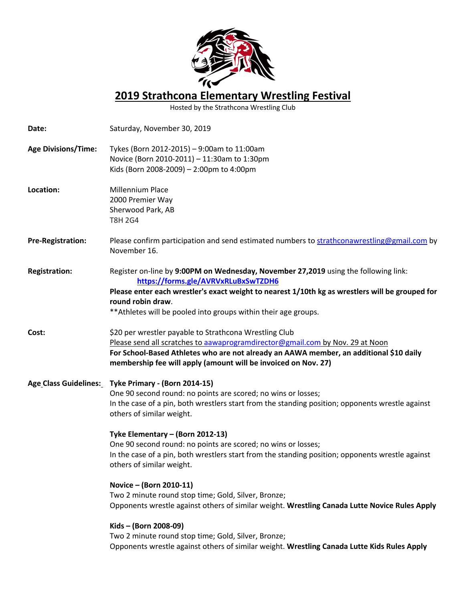

**2019 Strathcona Elementary Wrestling Festival**

Hosted by the Strathcona Wrestling Club

| Date:                      | Saturday, November 30, 2019                                                                                                                                                                                                                                                                                           |
|----------------------------|-----------------------------------------------------------------------------------------------------------------------------------------------------------------------------------------------------------------------------------------------------------------------------------------------------------------------|
| <b>Age Divisions/Time:</b> | Tykes (Born 2012-2015) - 9:00am to 11:00am<br>Novice (Born 2010-2011) - 11:30am to 1:30pm<br>Kids (Born 2008-2009) - 2:00pm to 4:00pm                                                                                                                                                                                 |
| Location:                  | Millennium Place<br>2000 Premier Way<br>Sherwood Park, AB<br><b>T8H 2G4</b>                                                                                                                                                                                                                                           |
| <b>Pre-Registration:</b>   | Please confirm participation and send estimated numbers to strathconawrestling@gmail.com by<br>November 16.                                                                                                                                                                                                           |
| <b>Registration:</b>       | Register on-line by 9:00PM on Wednesday, November 27,2019 using the following link:<br>https://forms.gle/AVRVxRLuBxSwTZDH6<br>Please enter each wrestler's exact weight to nearest 1/10th kg as wrestlers will be grouped for<br>round robin draw.<br>** Athletes will be pooled into groups within their age groups. |
| Cost:                      | \$20 per wrestler payable to Strathcona Wrestling Club<br>Please send all scratches to aawaprogramdirector@gmail.com by Nov. 29 at Noon<br>For School-Based Athletes who are not already an AAWA member, an additional \$10 daily<br>membership fee will apply (amount will be invoiced on Nov. 27)                   |
|                            | Age Class Guidelines: Tyke Primary - (Born 2014-15)<br>One 90 second round: no points are scored; no wins or losses;<br>In the case of a pin, both wrestlers start from the standing position; opponents wrestle against<br>others of similar weight.                                                                 |
|                            | Tyke Elementary - (Born 2012-13)<br>One 90 second round: no points are scored; no wins or losses;<br>In the case of a pin, both wrestlers start from the standing position; opponents wrestle against<br>others of similar weight.                                                                                    |
|                            | Novice - (Born 2010-11)<br>Two 2 minute round stop time; Gold, Silver, Bronze;<br>Opponents wrestle against others of similar weight. Wrestling Canada Lutte Novice Rules Apply                                                                                                                                       |
|                            | Kids - (Born 2008-09)<br>Two 2 minute round stop time; Gold, Silver, Bronze;<br>Opponents wrestle against others of similar weight. Wrestling Canada Lutte Kids Rules Apply                                                                                                                                           |